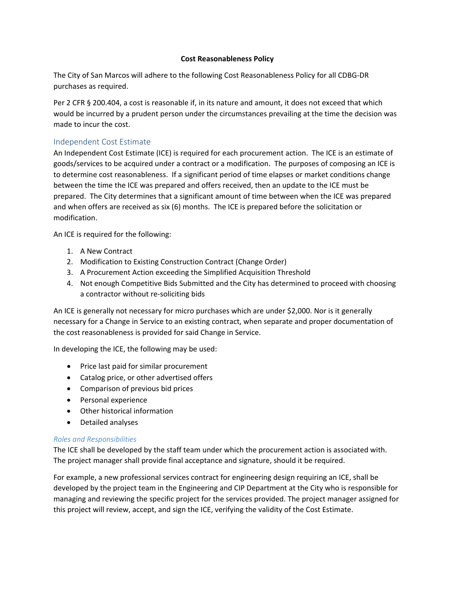#### **Cost Reasonableness Policy**

The City of San Marcos will adhere to the following Cost Reasonableness Policy for all CDBG-DR purchases as required.

Per 2 CFR § 200.404, a cost is reasonable if, in its nature and amount, it does not exceed that which would be incurred by a prudent person under the circumstances prevailing at the time the decision was made to incur the cost.

# Independent Cost Estimate

An Independent Cost Estimate (ICE) is required for each procurement action. The ICE is an estimate of goods/services to be acquired under a contract or a modification. The purposes of composing an ICE is to determine cost reasonableness. If a significant period of time elapses or market conditions change between the time the ICE was prepared and offers received, then an update to the ICE must be prepared. The City determines that a significant amount of time between when the ICE was prepared and when offers are received as six (6) months. The ICE is prepared before the solicitation or modification.

An ICE is required for the following:

- 1. A New Contract
- 2. Modification to Existing Construction Contract (Change Order)
- 3. A Procurement Action exceeding the Simplified Acquisition Threshold
- 4. Not enough Competitive Bids Submitted and the City has determined to proceed with choosing a contractor without re-soliciting bids

An ICE is generally not necessary for micro purchases which are under \$2,000. Nor is it generally necessary for a Change in Service to an existing contract, when separate and proper documentation of the cost reasonableness is provided for said Change in Service.

In developing the ICE, the following may be used:

- Price last paid for similar procurement
- Catalog price, or other advertised offers
- Comparison of previous bid prices
- Personal experience
- Other historical information
- Detailed analyses

#### *Roles and Responsibilities*

The ICE shall be developed by the staff team under which the procurement action is associated with. The project manager shall provide final acceptance and signature, should it be required.

For example, a new professional services contract for engineering design requiring an ICE, shall be developed by the project team in the Engineering and CIP Department at the City who is responsible for managing and reviewing the specific project for the services provided. The project manager assigned for this project will review, accept, and sign the ICE, verifying the validity of the Cost Estimate.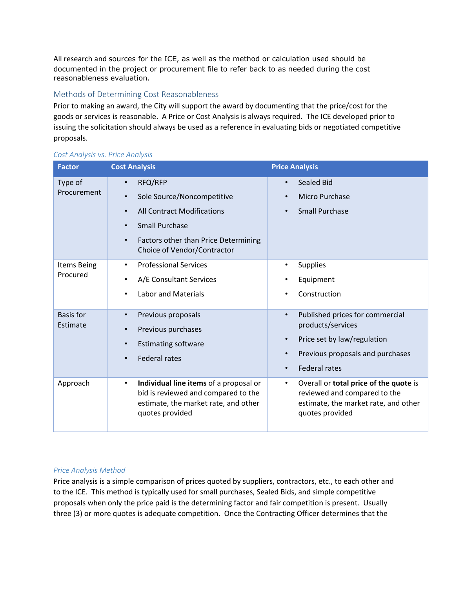All research and sources for the ICE, as well as the method or calculation used should be documented in the project or procurement file to refer back to as needed during the cost reasonableness evaluation.

## Methods of Determining Cost Reasonableness

Prior to making an award, the City will support the award by documenting that the price/cost for the goods or services is reasonable. A Price or Cost Analysis is always required. The ICE developed prior to issuing the solicitation should always be used as a reference in evaluating bids or negotiated competitive proposals.

| <b>Factor</b>                | <b>Cost Analysis</b>                                                                                                                                                                                                                        | <b>Price Analysis</b>                                                                                                                                                                               |
|------------------------------|---------------------------------------------------------------------------------------------------------------------------------------------------------------------------------------------------------------------------------------------|-----------------------------------------------------------------------------------------------------------------------------------------------------------------------------------------------------|
| Type of<br>Procurement       | RFQ/RFP<br>$\bullet$<br>Sole Source/Noncompetitive<br>$\bullet$<br><b>All Contract Modifications</b><br>$\bullet$<br><b>Small Purchase</b><br>$\bullet$<br>Factors other than Price Determining<br>$\bullet$<br>Choice of Vendor/Contractor | Sealed Bid<br>$\bullet$<br>Micro Purchase<br>$\bullet$<br><b>Small Purchase</b><br>$\bullet$                                                                                                        |
| Items Being<br>Procured      | <b>Professional Services</b><br>$\bullet$<br>A/E Consultant Services<br>$\bullet$<br><b>Labor and Materials</b><br>$\bullet$                                                                                                                | <b>Supplies</b><br>$\bullet$<br>Equipment<br>$\bullet$<br>Construction<br>$\bullet$                                                                                                                 |
| <b>Basis for</b><br>Estimate | Previous proposals<br>$\bullet$<br>Previous purchases<br>$\bullet$<br><b>Estimating software</b><br>$\bullet$<br><b>Federal rates</b><br>$\bullet$                                                                                          | Published prices for commercial<br>$\bullet$<br>products/services<br>Price set by law/regulation<br>$\bullet$<br>Previous proposals and purchases<br>$\bullet$<br><b>Federal rates</b><br>$\bullet$ |
| Approach                     | Individual line items of a proposal or<br>$\bullet$<br>bid is reviewed and compared to the<br>estimate, the market rate, and other<br>quotes provided                                                                                       | Overall or <b>total price of the quote</b> is<br>$\bullet$<br>reviewed and compared to the<br>estimate, the market rate, and other<br>quotes provided                                               |

#### *Cost Analysis vs. Price Analysis*

#### *Price Analysis Method*

Price analysis is a simple comparison of prices quoted by suppliers, contractors, etc., to each other and to the ICE. This method is typically used for small purchases, Sealed Bids, and simple competitive proposals when only the price paid is the determining factor and fair competition is present. Usually three (3) or more quotes is adequate competition. Once the Contracting Officer determines that the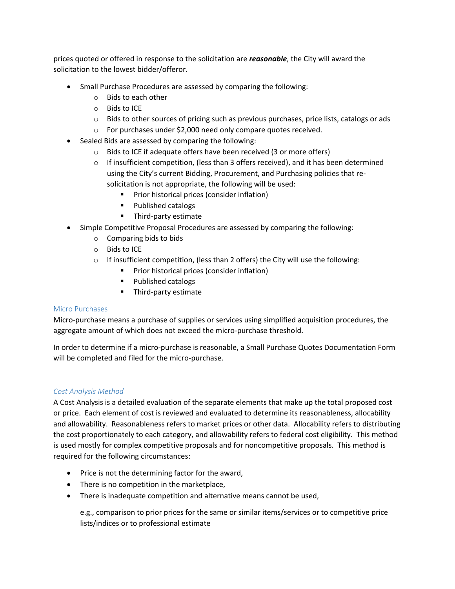prices quoted or offered in response to the solicitation are *reasonable*, the City will award the solicitation to the lowest bidder/offeror.

- Small Purchase Procedures are assessed by comparing the following:
	- o Bids to each other
	- o Bids to ICE
	- o Bids to other sources of pricing such as previous purchases, price lists, catalogs or ads
	- o For purchases under \$2,000 need only compare quotes received.
- Sealed Bids are assessed by comparing the following:
	- o Bids to ICE if adequate offers have been received (3 or more offers)
	- $\circ$  If insufficient competition, (less than 3 offers received), and it has been determined using the City's current Bidding, Procurement, and Purchasing policies that resolicitation is not appropriate, the following will be used:
		- **Prior historical prices (consider inflation)**
		- **Published catalogs**
		- **Third-party estimate**
- Simple Competitive Proposal Procedures are assessed by comparing the following:
	- o Comparing bids to bids
	- o Bids to ICE
	- o If insufficient competition, (less than 2 offers) the City will use the following:
		- **Prior historical prices (consider inflation)**
		- **Published catalogs**
		- **Third-party estimate**

#### Micro Purchases

Micro-purchase means a purchase of [supplies](https://www.law.cornell.edu/definitions/index.php?width=840&height=800&iframe=true&def_id=417f307e32260214332b0cf1264dd8af&term_occur=999&term_src=Title:2:Subtitle:A:Chapter:II:Part:200:Subpart:A:Subjgrp:27:200.67) or services using simplified acquisition procedures, the aggregate amount of which does not exceed the [micro-purchase threshold.](https://www.law.cornell.edu/definitions/index.php?width=840&height=800&iframe=true&def_id=a1b6b60d9d85faf211456a67f3a2f5c2&term_occur=999&term_src=Title:2:Subtitle:A:Chapter:II:Part:200:Subpart:A:Subjgrp:27:200.67)

In order to determine if a micro-purchase is reasonable, a Small Purchase Quotes Documentation Form will be completed and filed for the micro-purchase.

#### *Cost Analysis Method*

A Cost Analysis is a detailed evaluation of the separate elements that make up the total proposed cost or price. Each element of cost is reviewed and evaluated to determine its reasonableness, allocability and allowability. Reasonableness refers to market prices or other data. Allocability refers to distributing the cost proportionately to each category, and allowability refers to federal cost eligibility. This method is used mostly for complex competitive proposals and for noncompetitive proposals. This method is required for the following circumstances:

- Price is not the determining factor for the award,
- There is no competition in the marketplace,
- There is inadequate competition and alternative means cannot be used,

e.g., comparison to prior prices for the same or similar items/services or to competitive price lists/indices or to professional estimate